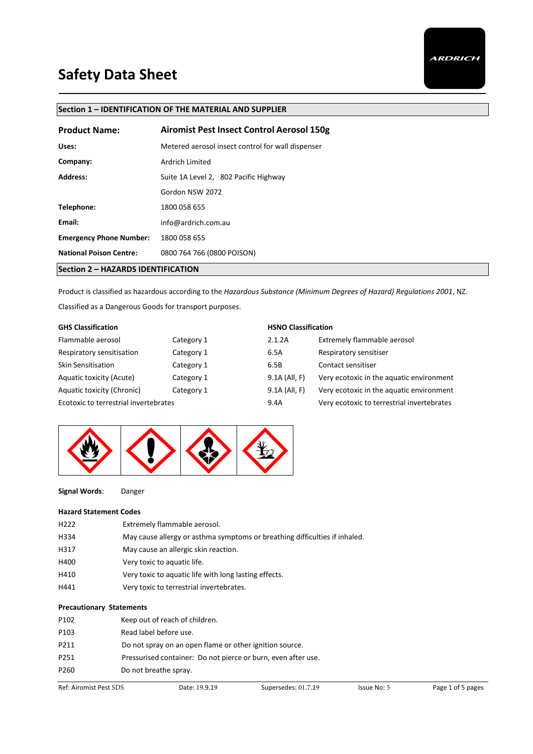## **Section 1 – IDENTIFICATION OF THE MATERIAL AND SUPPLIER**

| <b>Product Name:</b>               | <b>Airomist Pest Insect Control Aerosol 150g</b>  |
|------------------------------------|---------------------------------------------------|
| Uses:                              | Metered aerosol insect control for wall dispenser |
| Company:                           | Ardrich Limited                                   |
| <b>Address:</b>                    | Suite 1A Level 2, 802 Pacific Highway             |
|                                    | Gordon NSW 2072                                   |
| Telephone:                         | 1800 058 655                                      |
| Email:                             | info@ardrich.com.au                               |
| <b>Emergency Phone Number:</b>     | 1800 058 655                                      |
| <b>National Poison Centre:</b>     | 0800 764 766 (0800 POISON)                        |
| Section 2 - HAZARDS IDENTIFICATION |                                                   |

Product is classified as hazardous according to the *Hazardous Substance (Minimum Degrees of Hazard) Regulations 2001*, NZ.

Classified as a Dangerous Goods for transport purposes.

| <b>GHS Classification</b>             |            | <b>HSNO Classification</b> |                                            |
|---------------------------------------|------------|----------------------------|--------------------------------------------|
| Flammable aerosol                     | Category 1 | 2.1.2A                     | Extremely flammable aerosol                |
| Respiratory sensitisation             | Category 1 | 6.5A                       | Respiratory sensitiser                     |
| <b>Skin Sensitisation</b>             | Category 1 | 6.5B                       | Contact sensitiser                         |
| Aquatic toxicity (Acute)              | Category 1 | 9.1A (All, F)              | Very ecotoxic in the aquatic environment   |
| Aquatic toxicity (Chronic)            | Category 1 | 9.1A (All, F)              | Very ecotoxic in the aquatic environment   |
| Ecotoxic to terrestrial invertebrates |            | 9.4A                       | Very ecotoxic to terrestrial invertebrates |



**Signal Words**: Danger

#### **Hazard Statement Codes**

| H <sub>222</sub> | Extremely flammable aerosol.                                               |
|------------------|----------------------------------------------------------------------------|
| H334             | May cause allergy or asthma symptoms or breathing difficulties if inhaled. |
| H317             | May cause an allergic skin reaction.                                       |
| H400             | Very toxic to aquatic life.                                                |
| H410             | Very toxic to aquatic life with long lasting effects.                      |
| H441             | Very toxic to terrestrial invertebrates.                                   |
|                  |                                                                            |

#### **Precautionary Statements**

| P102             | Keep out of reach of children.                                |
|------------------|---------------------------------------------------------------|
| P <sub>103</sub> | Read label before use.                                        |
| P211             | Do not spray on an open flame or other ignition source.       |
| P <sub>251</sub> | Pressurised container: Do not pierce or burn, even after use. |
| P260             | Do not breathe spray.                                         |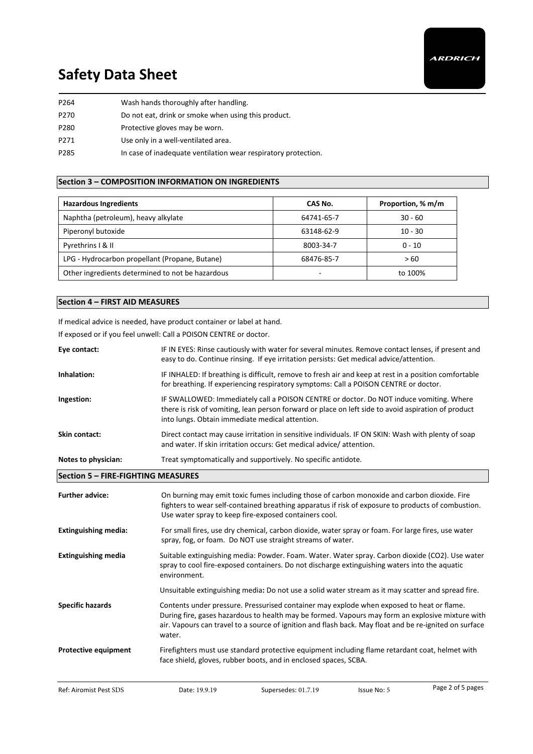| P264 | Wash hands thoroughly after handling.                          |
|------|----------------------------------------------------------------|
| P270 | Do not eat, drink or smoke when using this product.            |
| P280 | Protective gloves may be worn.                                 |
| P271 | Use only in a well-ventilated area.                            |
| P285 | In case of inadequate ventilation wear respiratory protection. |

### **Section 3 – COMPOSITION INFORMATION ON INGREDIENTS**

| <b>Hazardous Ingredients</b>                     | CAS No.    | Proportion, % m/m |
|--------------------------------------------------|------------|-------------------|
| Naphtha (petroleum), heavy alkylate              | 64741-65-7 | $30 - 60$         |
| Piperonyl butoxide                               | 63148-62-9 | $10 - 30$         |
| Pyrethrins   & II                                | 8003-34-7  | $0 - 10$          |
| LPG - Hydrocarbon propellant (Propane, Butane)   | 68476-85-7 | >60               |
| Other ingredients determined to not be hazardous |            | to 100%           |

#### **Section 4 – FIRST AID MEASURES**

If medical advice is needed, have product container or label at hand.

If exposed or if you feel unwell: Call a POISON CENTRE or doctor.

| Eye contact:                              | IF IN EYES: Rinse cautiously with water for several minutes. Remove contact lenses, if present and<br>easy to do. Continue rinsing. If eye irritation persists: Get medical advice/attention.                                                              |
|-------------------------------------------|------------------------------------------------------------------------------------------------------------------------------------------------------------------------------------------------------------------------------------------------------------|
| Inhalation:                               | IF INHALED: If breathing is difficult, remove to fresh air and keep at rest in a position comfortable<br>for breathing. If experiencing respiratory symptoms: Call a POISON CENTRE or doctor.                                                              |
| Ingestion:                                | IF SWALLOWED: Immediately call a POISON CENTRE or doctor. Do NOT induce vomiting. Where<br>there is risk of vomiting, lean person forward or place on left side to avoid aspiration of product<br>into lungs. Obtain immediate medical attention.          |
| Skin contact:                             | Direct contact may cause irritation in sensitive individuals. IF ON SKIN: Wash with plenty of soap<br>and water. If skin irritation occurs: Get medical advice/attention.                                                                                  |
| Notes to physician:                       | Treat symptomatically and supportively. No specific antidote.                                                                                                                                                                                              |
|                                           |                                                                                                                                                                                                                                                            |
| <b>Section 5 - FIRE-FIGHTING MEASURES</b> |                                                                                                                                                                                                                                                            |
| <b>Further advice:</b>                    | On burning may emit toxic fumes including those of carbon monoxide and carbon dioxide. Fire<br>fighters to wear self-contained breathing apparatus if risk of exposure to products of combustion.<br>Use water spray to keep fire-exposed containers cool. |
| <b>Extinguishing media:</b>               | For small fires, use dry chemical, carbon dioxide, water spray or foam. For large fires, use water<br>spray, fog, or foam. Do NOT use straight streams of water.                                                                                           |
| <b>Extinguishing media</b>                | Suitable extinguishing media: Powder. Foam. Water. Water spray. Carbon dioxide (CO2). Use water<br>spray to cool fire-exposed containers. Do not discharge extinguishing waters into the aquatic<br>environment.                                           |

**Specific hazards** Contents under pressure. Pressurised container may explode when exposed to heat or flame. During fire, gases hazardous to health may be formed. Vapours may form an explosive mixture with air. Vapours can travel to a source of ignition and flash back. May float and be re-ignited on surface water.

**Protective equipment** Firefighters must use standard protective equipment including flame retardant coat, helmet with face shield, gloves, rubber boots, and in enclosed spaces, SCBA.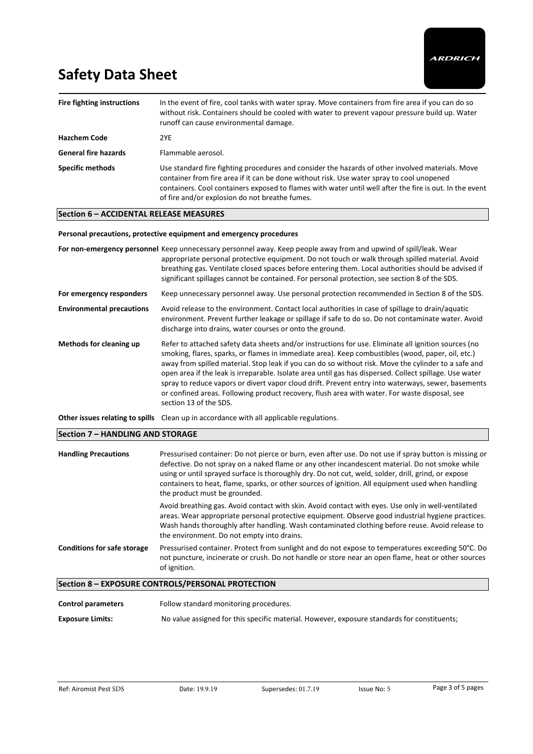| Fire fighting instructions  | In the event of fire, cool tanks with water spray. Move containers from fire area if you can do so<br>without risk. Containers should be cooled with water to prevent vapour pressure build up. Water<br>runoff can cause environmental damage.                                                                                                            |
|-----------------------------|------------------------------------------------------------------------------------------------------------------------------------------------------------------------------------------------------------------------------------------------------------------------------------------------------------------------------------------------------------|
| <b>Hazchem Code</b>         | 2YE                                                                                                                                                                                                                                                                                                                                                        |
| <b>General fire hazards</b> | Flammable aerosol.                                                                                                                                                                                                                                                                                                                                         |
| <b>Specific methods</b>     | Use standard fire fighting procedures and consider the hazards of other involved materials. Move<br>container from fire area if it can be done without risk. Use water spray to cool unopened<br>containers. Cool containers exposed to flames with water until well after the fire is out. In the event<br>of fire and/or explosion do not breathe fumes. |

#### **Section 6 – ACCIDENTAL RELEASE MEASURES**

#### **Personal precautions, protective equipment and emergency procedures**

**For non-emergency personnel** Keep unnecessary personnel away. Keep people away from and upwind of spill/leak. Wear appropriate personal protective equipment. Do not touch or walk through spilled material. Avoid breathing gas. Ventilate closed spaces before entering them. Local authorities should be advised if significant spillages cannot be contained. For personal protection, see section 8 of the SDS. **For emergency responders** Keep unnecessary personnel away. Use personal protection recommended in Section 8 of the SDS. **Environmental precautions** Avoid release to the environment. Contact local authorities in case of spillage to drain/aquatic environment. Prevent further leakage or spillage if safe to do so. Do not contaminate water. Avoid discharge into drains, water courses or onto the ground. **Methods for cleaning up** Refer to attached safety data sheets and/or instructions for use. Eliminate all ignition sources (no smoking, flares, sparks, or flames in immediate area). Keep combustibles (wood, paper, oil, etc.) away from spilled material. Stop leak if you can do so without risk. Move the cylinder to a safe and open area if the leak is irreparable. Isolate area until gas has dispersed. Collect spillage. Use water spray to reduce vapors or divert vapor cloud drift. Prevent entry into waterways, sewer, basements or confined areas. Following product recovery, flush area with water. For waste disposal, see section 13 of the SDS.

**Other issues relating to spills** Clean up in accordance with all applicable regulations.

#### **Section 7 – HANDLING AND STORAGE**

| <b>Handling Precautions</b>        | Pressurised container: Do not pierce or burn, even after use. Do not use if spray button is missing or<br>defective. Do not spray on a naked flame or any other incandescent material. Do not smoke while<br>using or until sprayed surface is thoroughly dry. Do not cut, weld, solder, drill, grind, or expose<br>containers to heat, flame, sparks, or other sources of ignition. All equipment used when handling<br>the product must be grounded. |
|------------------------------------|--------------------------------------------------------------------------------------------------------------------------------------------------------------------------------------------------------------------------------------------------------------------------------------------------------------------------------------------------------------------------------------------------------------------------------------------------------|
|                                    | Avoid breathing gas. Avoid contact with skin. Avoid contact with eyes. Use only in well-ventilated<br>areas. Wear appropriate personal protective equipment. Observe good industrial hygiene practices.<br>Wash hands thoroughly after handling. Wash contaminated clothing before reuse. Avoid release to<br>the environment. Do not empty into drains.                                                                                               |
| <b>Conditions for safe storage</b> | Pressurised container. Protect from sunlight and do not expose to temperatures exceeding 50°C. Do<br>not puncture, incinerate or crush. Do not handle or store near an open flame, heat or other sources<br>of ignition.                                                                                                                                                                                                                               |
|                                    | Section 8 - EXPOSURE CONTROLS/PERSONAL PROTECTION                                                                                                                                                                                                                                                                                                                                                                                                      |

**Control parameters** Follow standard monitoring procedures.

**Exposure Limits:** No value assigned for this specific material. However, exposure standards for constituents;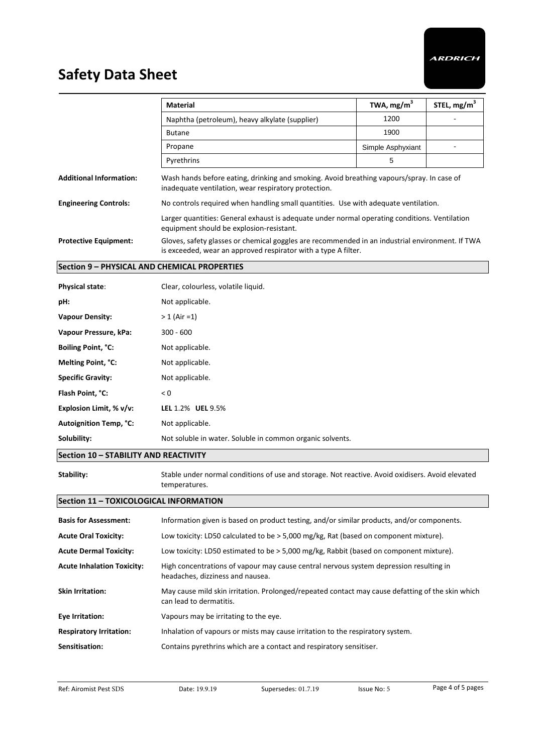|                                              | <b>Material</b>                                                                                                                                                   | TWA, mg/m <sup>3</sup> | STEL, mg/m <sup>3</sup> |
|----------------------------------------------|-------------------------------------------------------------------------------------------------------------------------------------------------------------------|------------------------|-------------------------|
|                                              | Naphtha (petroleum), heavy alkylate (supplier)                                                                                                                    | 1200                   |                         |
|                                              | <b>Butane</b>                                                                                                                                                     | 1900                   |                         |
|                                              | Propane                                                                                                                                                           | Simple Asphyxiant      |                         |
|                                              | Pyrethrins                                                                                                                                                        | 5                      |                         |
| <b>Additional Information:</b>               | Wash hands before eating, drinking and smoking. Avoid breathing vapours/spray. In case of<br>inadequate ventilation, wear respiratory protection.                 |                        |                         |
| <b>Engineering Controls:</b>                 | No controls required when handling small quantities. Use with adequate ventilation.                                                                               |                        |                         |
|                                              | Larger quantities: General exhaust is adequate under normal operating conditions. Ventilation<br>equipment should be explosion-resistant.                         |                        |                         |
| <b>Protective Equipment:</b>                 | Gloves, safety glasses or chemical goggles are recommended in an industrial environment. If TWA<br>is exceeded, wear an approved respirator with a type A filter. |                        |                         |
| Section 9 - PHYSICAL AND CHEMICAL PROPERTIES |                                                                                                                                                                   |                        |                         |
| <b>Physical state:</b>                       | Clear, colourless, volatile liquid.                                                                                                                               |                        |                         |
| pH:                                          | Not applicable.                                                                                                                                                   |                        |                         |
| <b>Vapour Density:</b>                       | $> 1$ (Air = 1)                                                                                                                                                   |                        |                         |
| Vapour Pressure, kPa:                        | $300 - 600$                                                                                                                                                       |                        |                         |
| <b>Boiling Point, °C:</b>                    | Not applicable.                                                                                                                                                   |                        |                         |
| Melting Point, °C:                           | Not applicable.                                                                                                                                                   |                        |                         |
| <b>Specific Gravity:</b>                     | Not applicable.                                                                                                                                                   |                        |                         |
| Flash Point, °C:                             | < 0                                                                                                                                                               |                        |                         |
| Explosion Limit, % v/v:                      | LEL 1.2% UEL 9.5%                                                                                                                                                 |                        |                         |
| <b>Autoignition Temp, °C:</b>                | Not applicable.                                                                                                                                                   |                        |                         |
| Solubility:                                  | Not soluble in water. Soluble in common organic solvents.                                                                                                         |                        |                         |
| Section 10 - STABILITY AND REACTIVITY        |                                                                                                                                                                   |                        |                         |

**Stability:** Stable under normal conditions of use and storage. Not reactive. Avoid oxidisers. Avoid elevated temperatures.

## **Section 11 – TOXICOLOGICAL INFORMATION**

| <b>Basis for Assessment:</b>      | Information given is based on product testing, and/or similar products, and/or components.                                  |
|-----------------------------------|-----------------------------------------------------------------------------------------------------------------------------|
| <b>Acute Oral Toxicity:</b>       | Low toxicity: LD50 calculated to be $>$ 5,000 mg/kg, Rat (based on component mixture).                                      |
| <b>Acute Dermal Toxicity:</b>     | Low toxicity: LD50 estimated to be > 5,000 mg/kg, Rabbit (based on component mixture).                                      |
| <b>Acute Inhalation Toxicity:</b> | High concentrations of vapour may cause central nervous system depression resulting in<br>headaches, dizziness and nausea.  |
| <b>Skin Irritation:</b>           | May cause mild skin irritation. Prolonged/repeated contact may cause defatting of the skin which<br>can lead to dermatitis. |
| Eye Irritation:                   | Vapours may be irritating to the eye.                                                                                       |
| <b>Respiratory Irritation:</b>    | Inhalation of vapours or mists may cause irritation to the respiratory system.                                              |
| Sensitisation:                    | Contains pyrethrins which are a contact and respiratory sensitiser.                                                         |